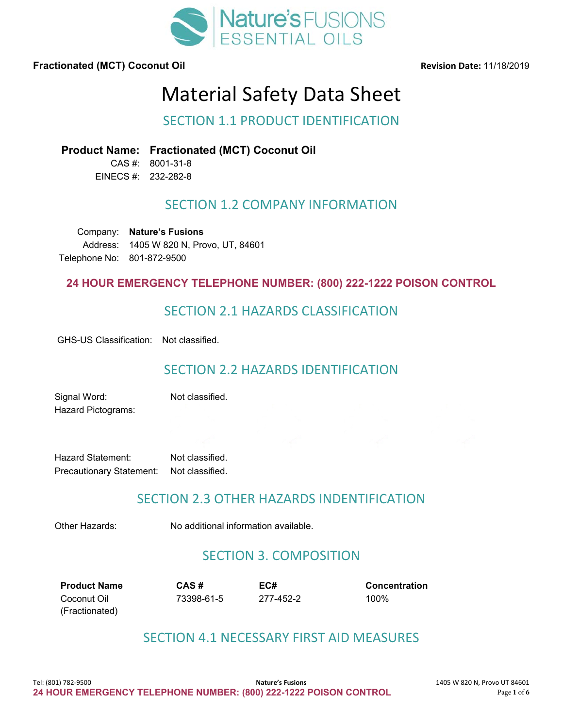

# Material Safety Data Sheet

# SECTION 1.1 PRODUCT IDENTIFICATION

**Product Name: Fractionated (MCT) Coconut Oil**

CAS #: 8001-31-8 EINECS #: 232-282-8

# SECTION 1.2 COMPANY INFORMATION

Company: **Nature's Fusions** Address: 1405 W 820 N, Provo, UT, 84601 Telephone No: 801-872-9500

### **24 HOUR EMERGENCY TELEPHONE NUMBER: (800) 222-1222 POISON CONTROL**

# SECTION 2.1 HAZARDS CLASSIFICATION

GHS-US Classification: Not classified.

# SECTION 2.2 HAZARDS IDENTIFICATION

Signal Word: Not classified. Hazard Pictograms:

Hazard Statement: Not classified. Precautionary Statement: Not classified.

# SECTION 2.3 OTHER HAZARDS INDENTIFICATION

Other Hazards: No additional information available.

# SECTION 3. COMPOSITION

**Product Name CAS # EC# Concentration** Coconut Oil (Fractionated)

73398-61-5 277-452-2 100%

# SECTION 4.1 NECESSARY FIRST AID MEASURES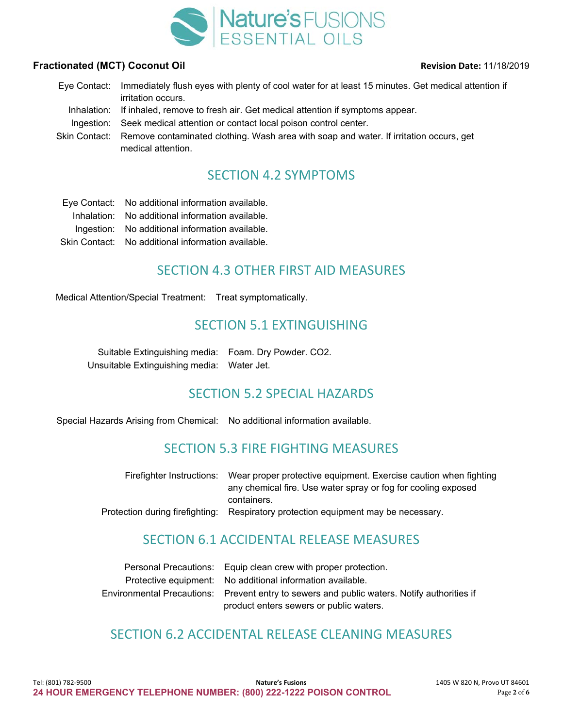

Eye Contact: Immediately flush eyes with plenty of cool water for at least 15 minutes. Get medical attention if irritation occurs. Inhalation: If inhaled, remove to fresh air. Get medical attention if symptoms appear.<br>Ingestion: Seek medical attention or contact local poison control center. Seek medical attention or contact local poison control center. Skin Contact: Remove contaminated clothing. Wash area with soap and water. If irritation occurs, get medical attention.

# SECTION 4.2 SYMPTOMS

Eye Contact: No additional information available. Inhalation: No additional information available. Ingestion: No additional information available. Skin Contact: No additional information available.

# SECTION 4.3 OTHER FIRST AID MEASURES

Medical Attention/Special Treatment: Treat symptomatically.

# SECTION 5.1 EXTINGUISHING

Suitable Extinguishing media: Foam. Dry Powder. CO2. Unsuitable Extinguishing media: Water Jet.

# SECTION 5.2 SPECIAL HAZARDS

Special Hazards Arising from Chemical: No additional information available.

# SECTION 5.3 FIRE FIGHTING MEASURES

| Firefighter Instructions: Wear proper protective equipment. Exercise caution when fighting |
|--------------------------------------------------------------------------------------------|
| any chemical fire. Use water spray or fog for cooling exposed                              |
| containers.                                                                                |
| Protection during firefighting: Respiratory protection equipment may be necessary.         |

# SECTION 6.1 ACCIDENTAL RELEASE MEASURES

| Personal Precautions: Equip clean crew with proper protection.                              |
|---------------------------------------------------------------------------------------------|
| Protective equipment: No additional information available.                                  |
| Environmental Precautions: Prevent entry to sewers and public waters. Notify authorities if |
| product enters sewers or public waters.                                                     |

# SECTION 6.2 ACCIDENTAL RELEASE CLEANING MEASURES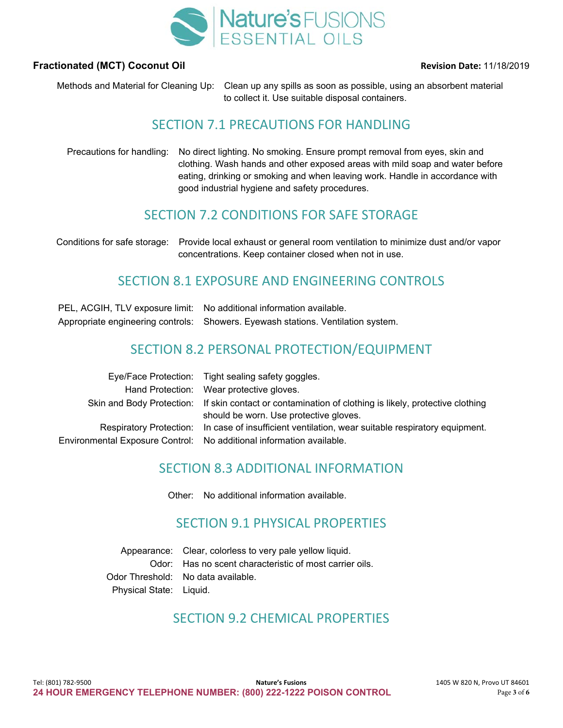

Methods and Material for Cleaning Up: Clean up any spills as soon as possible, using an absorbent material to collect it. Use suitable disposal containers.

# SECTION 7.1 PRECAUTIONS FOR HANDLING

Precautions for handling: No direct lighting. No smoking. Ensure prompt removal from eyes, skin and clothing. Wash hands and other exposed areas with mild soap and water before eating, drinking or smoking and when leaving work. Handle in accordance with good industrial hygiene and safety procedures.

# SECTION 7.2 CONDITIONS FOR SAFE STORAGE

Conditions for safe storage: Provide local exhaust or general room ventilation to minimize dust and/or vapor concentrations. Keep container closed when not in use.

# SECTION 8.1 EXPOSURE AND ENGINEERING CONTROLS

| PEL, ACGIH, TLV exposure limit: No additional information available.             |
|----------------------------------------------------------------------------------|
| Appropriate engineering controls: Showers. Eyewash stations. Ventilation system. |

# SECTION 8.2 PERSONAL PROTECTION/EQUIPMENT

| Eye/Face Protection: Tight sealing safety goggles.                                                                                              |
|-------------------------------------------------------------------------------------------------------------------------------------------------|
| Hand Protection: Wear protective gloves.                                                                                                        |
| Skin and Body Protection: If skin contact or contamination of clothing is likely, protective clothing<br>should be worn. Use protective gloves. |
| Respiratory Protection: In case of insufficient ventilation, wear suitable respiratory equipment.                                               |
| Environmental Exposure Control: No additional information available.                                                                            |

# SECTION 8.3 ADDITIONAL INFORMATION

Other: No additional information available.

# SECTION 9.1 PHYSICAL PROPERTIES

Appearance: Clear, colorless to very pale yellow liquid. Odor: Has no scent characteristic of most carrier oils. Odor Threshold: No data available. Physical State: Liquid.

# SECTION 9.2 CHEMICAL PROPERTIES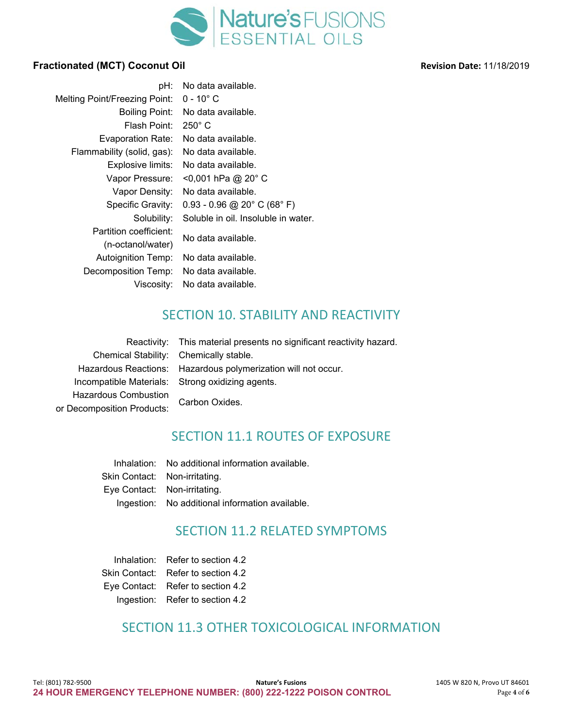

| pH:                                  | No data available.                  |
|--------------------------------------|-------------------------------------|
| <b>Melting Point/Freezing Point:</b> | $0 - 10^{\circ}$ C                  |
| Boiling Point:                       | No data available.                  |
| Flash Point:                         | $250^\circ$ C                       |
| <b>Evaporation Rate:</b>             | No data available.                  |
| Flammability (solid, gas):           | No data available.                  |
| Explosive limits:                    | No data available.                  |
| Vapor Pressure:                      | <0,001 hPa @ 20° C                  |
| Vapor Density:                       | No data available.                  |
| Specific Gravity:                    | $0.93 - 0.96$ @ 20° C (68° F)       |
| Solubility:                          | Soluble in oil. Insoluble in water. |
| Partition coefficient:               | No data available.                  |
| (n-octanol/water)                    |                                     |
| <b>Autoignition Temp:</b>            | No data available.                  |
| Decomposition Temp:                  | No data available.                  |
| Viscosity:                           | No data available.                  |

# SECTION 10. STABILITY AND REACTIVITY

|                                        | Reactivity: This material presents no significant reactivity hazard. |
|----------------------------------------|----------------------------------------------------------------------|
| Chemical Stability: Chemically stable. |                                                                      |
|                                        | Hazardous Reactions: Hazardous polymerization will not occur.        |
|                                        | Incompatible Materials: Strong oxidizing agents.                     |
| <b>Hazardous Combustion</b>            |                                                                      |
| or Decomposition Products:             | Carbon Oxides.                                                       |

# SECTION 11.1 ROUTES OF EXPOSURE

Inhalation: No additional information available. Skin Contact: Non-irritating. Eye Contact: Non-irritating. Ingestion: No additional information available.

# SECTION 11.2 RELATED SYMPTOMS

| Inhalation:   | Refer to section 4.2              |
|---------------|-----------------------------------|
| Skin Contact: | Refer to section 4.2              |
|               | Eye Contact: Refer to section 4.2 |
|               | Ingestion: Refer to section 4.2   |

# SECTION 11.3 OTHER TOXICOLOGICAL INFORMATION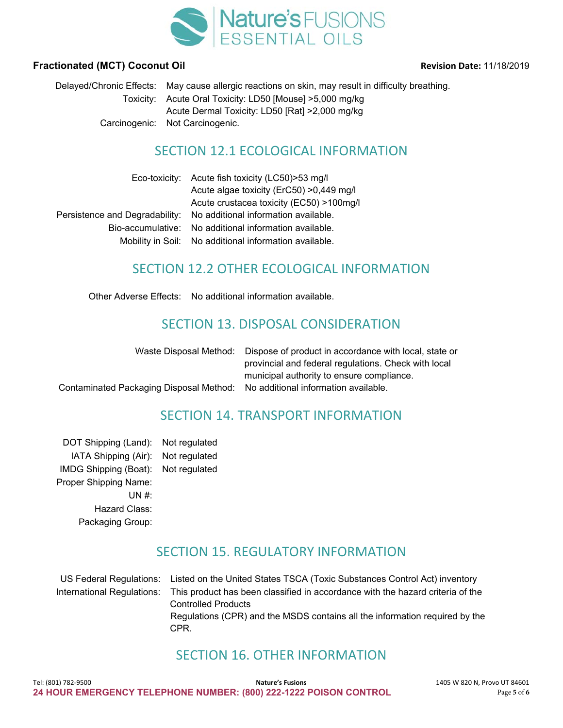

#### **Fractionated (MCT) Coconut Oil** *COLORET CONTENTING CONTENTING CONTENTING CONTENTING CONTENTING CONTENTING CONTENTING CONTENTING CONTENTING CONTENTING CONTENTING CONTENTING CONTENTING CONTENTING CONTENTING CONTENTING CON*

Delayed/Chronic Effects: May cause allergic reactions on skin, may result in difficulty breathing. Toxicity: Acute Oral Toxicity: LD50 [Mouse] >5,000 mg/kg Acute Dermal Toxicity: LD50 [Rat] >2,000 mg/kg Carcinogenic: Not Carcinogenic.

# SECTION 12.1 ECOLOGICAL INFORMATION

| Eco-toxicity: Acute fish toxicity (LC50) > 53 mg/l                  |
|---------------------------------------------------------------------|
| Acute algae toxicity (ErC50) > 0,449 mg/l                           |
| Acute crustacea toxicity (EC50) >100mg/l                            |
| Persistence and Degradability: No additional information available. |
| Bio-accumulative: No additional information available.              |
| Mobility in Soil: No additional information available.              |

# SECTION 12.2 OTHER ECOLOGICAL INFORMATION

Other Adverse Effects: No additional information available.

# SECTION 13. DISPOSAL CONSIDERATION

|                                                                              | Waste Disposal Method: Dispose of product in accordance with local, state or |
|------------------------------------------------------------------------------|------------------------------------------------------------------------------|
|                                                                              | provincial and federal regulations. Check with local                         |
|                                                                              | municipal authority to ensure compliance.                                    |
| Contaminated Packaging Disposal Method: No additional information available. |                                                                              |
|                                                                              |                                                                              |

# SECTION 14. TRANSPORT INFORMATION

DOT Shipping (Land): Not regulated IATA Shipping (Air): Not regulated IMDG Shipping (Boat): Not regulated Proper Shipping Name: UN #: Hazard Class: Packaging Group:

# SECTION 15. REGULATORY INFORMATION

US Federal Regulations: Listed on the United States TSCA (Toxic Substances Control Act) inventory International Regulations: This product has been classified in accordance with the hazard criteria of the Controlled Products Regulations (CPR) and the MSDS contains all the information required by the CPR.

# SECTION 16. OTHER INFORMATION